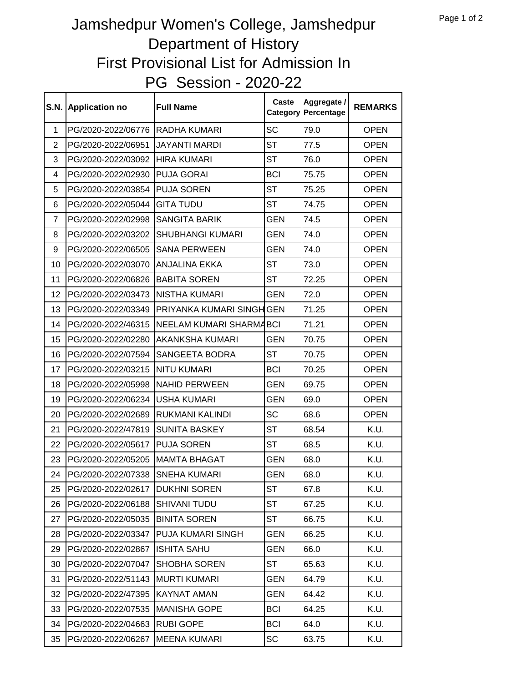## PG Session - 2020-22 Jamshedpur Women's College, Jamshedpur Department of History First Provisional List for Admission In

| <b>S.N.</b>    | <b>Application no</b>           | <b>Full Name</b>                 | Caste      | Aggregate /<br><b>Category Percentage</b> | <b>REMARKS</b> |
|----------------|---------------------------------|----------------------------------|------------|-------------------------------------------|----------------|
| 1              | PG/2020-2022/06776 RADHA KUMARI |                                  | SC         | 79.0                                      | <b>OPEN</b>    |
| $\overline{2}$ | PG/2020-2022/06951              | <b>JAYANTI MARDI</b>             | <b>ST</b>  | 77.5                                      | <b>OPEN</b>    |
| 3              | PG/2020-2022/03092              | <b>HIRA KUMARI</b>               | <b>ST</b>  | 76.0                                      | <b>OPEN</b>    |
| 4              | PG/2020-2022/02930              | <b>PUJA GORAI</b>                | <b>BCI</b> | 75.75                                     | <b>OPEN</b>    |
| 5              | PG/2020-2022/03854              | <b>PUJA SOREN</b>                | <b>ST</b>  | 75.25                                     | <b>OPEN</b>    |
| 6              | PG/2020-2022/05044              | <b>GITA TUDU</b>                 | <b>ST</b>  | 74.75                                     | <b>OPEN</b>    |
| $\overline{7}$ | PG/2020-2022/02998              | <b>SANGITA BARIK</b>             | <b>GEN</b> | 74.5                                      | <b>OPEN</b>    |
| 8              | PG/2020-2022/03202              | <b>SHUBHANGI KUMARI</b>          | <b>GEN</b> | 74.0                                      | <b>OPEN</b>    |
| 9              | PG/2020-2022/06505              | <b>SANA PERWEEN</b>              | <b>GEN</b> | 74.0                                      | <b>OPEN</b>    |
| 10             | PG/2020-2022/03070              | <b>JANJALINA EKKA</b>            | <b>ST</b>  | 73.0                                      | <b>OPEN</b>    |
| 11             | PG/2020-2022/06826              | <b>BABITA SOREN</b>              | <b>ST</b>  | 72.25                                     | <b>OPEN</b>    |
| 12             | PG/2020-2022/03473              | <b>NISTHA KUMARI</b>             | <b>GEN</b> | 72.0                                      | <b>OPEN</b>    |
| 13             | PG/2020-2022/03349              | <b>PRIYANKA KUMARI SINGH GEN</b> |            | 71.25                                     | <b>OPEN</b>    |
| 14             | PG/2020-2022/46315              | NEELAM KUMARI SHARMABCI          |            | 71.21                                     | <b>OPEN</b>    |
| 15             | PG/2020-2022/02280              | AKANKSHA KUMARI                  | <b>GEN</b> | 70.75                                     | <b>OPEN</b>    |
| 16             | PG/2020-2022/07594              | <b>SANGEETA BODRA</b>            | <b>ST</b>  | 70.75                                     | <b>OPEN</b>    |
| 17             | PG/2020-2022/03215              | <b>NITU KUMARI</b>               | <b>BCI</b> | 70.25                                     | <b>OPEN</b>    |
| 18             | PG/2020-2022/05998              | NAHID PERWEEN                    | <b>GEN</b> | 69.75                                     | <b>OPEN</b>    |
| 19             | PG/2020-2022/06234              | <b>USHA KUMARI</b>               | <b>GEN</b> | 69.0                                      | <b>OPEN</b>    |
| 20             | PG/2020-2022/02689              | RUKMANI KALINDI                  | <b>SC</b>  | 68.6                                      | <b>OPEN</b>    |
| 21             | PG/2020-2022/47819              | <b>SUNITA BASKEY</b>             | <b>ST</b>  | 68.54                                     | K.U.           |
| 22             | PG/2020-2022/05617              | <b>PUJA SOREN</b>                | <b>ST</b>  | 68.5                                      | K.U.           |
| 23             | PG/2020-2022/05205              | <b>MAMTA BHAGAT</b>              | <b>GEN</b> | 68.0                                      | K.U.           |
| 24             | PG/2020-2022/07338              | <b>SNEHA KUMARI</b>              | <b>GEN</b> | 68.0                                      | K.U.           |
| 25             | PG/2020-2022/02617              | <b>DUKHNI SOREN</b>              | <b>ST</b>  | 67.8                                      | K.U.           |
| 26             | PG/2020-2022/06188              | <b>SHIVANI TUDU</b>              | <b>ST</b>  | 67.25                                     | K.U.           |
| 27             | PG/2020-2022/05035              | <b>BINITA SOREN</b>              | <b>ST</b>  | 66.75                                     | K.U.           |
| 28             | PG/2020-2022/03347              | <b>PUJA KUMARI SINGH</b>         | <b>GEN</b> | 66.25                                     | K.U.           |
| 29             | PG/2020-2022/02867              | ISHITA SAHU                      | <b>GEN</b> | 66.0                                      | K.U.           |
| 30             | PG/2020-2022/07047              | <b>SHOBHA SOREN</b>              | ST         | 65.63                                     | K.U.           |
| 31             | PG/2020-2022/51143              | <b>MURTI KUMARI</b>              | <b>GEN</b> | 64.79                                     | K.U.           |
| 32             | PG/2020-2022/47395              | <b>KAYNAT AMAN</b>               | <b>GEN</b> | 64.42                                     | K.U.           |
| 33             | PG/2020-2022/07535              | <b>MANISHA GOPE</b>              | <b>BCI</b> | 64.25                                     | K.U.           |
| 34             | PG/2020-2022/04663              | <b>RUBI GOPE</b>                 | <b>BCI</b> | 64.0                                      | K.U.           |
| 35             | PG/2020-2022/06267              | <b>MEENA KUMARI</b>              | SC         | 63.75                                     | K.U.           |